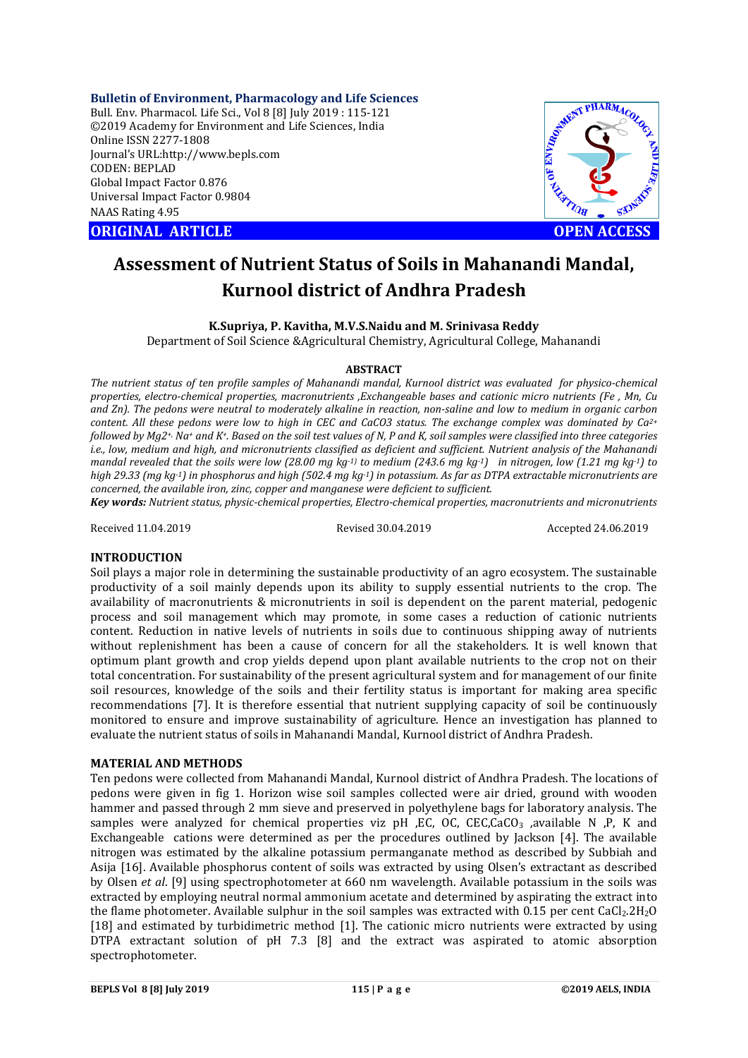**Bulletin of Environment, Pharmacology and Life Sciences** Bull. Env. Pharmacol. Life Sci., Vol 8 [8] July 2019 : 115-121 ©2019 Academy for Environment and Life Sciences, India Online ISSN 2277-1808 Journal's URL:http://www.bepls.com CODEN: BEPLAD Global Impact Factor 0.876 Universal Impact Factor 0.9804 NAAS Rating 4.95

**ORIGINAL ARTICLE OPEN ACCESS** 



# **Assessment of Nutrient Status of Soils in Mahanandi Mandal, Kurnool district of Andhra Pradesh**

## **K.Supriya, P. Kavitha, M.V.S.Naidu and M. Srinivasa Reddy**

Department of Soil Science &Agricultural Chemistry, Agricultural College, Mahanandi

#### **ABSTRACT**

*The nutrient status of ten profile samples of Mahanandi mandal, Kurnool district was evaluated for physico-chemical properties, electro-chemical properties, macronutrients ,Exchangeable bases and cationic micro nutrients (Fe , Mn, Cu and Zn). The pedons were neutral to moderately alkaline in reaction, non-saline and low to medium in organic carbon content. All these pedons were low to high in CEC and CaCO3 status. The exchange complex was dominated by Ca2+ followed by Mg2+, Na+ and K+. Based on the soil test values of N, P and K, soil samples were classified into three categories i.e., low, medium and high, and micronutrients classified as deficient and sufficient. Nutrient analysis of the Mahanandi mandal revealed that the soils were low (28.00 mg kg-1) to medium (243.6 mg kg-1) in nitrogen, low (1.21 mg kg-1) to high 29.33 (mg kg-1) in phosphorus and high (502.4 mg kg-1) in potassium. As far as DTPA extractable micronutrients are concerned, the available iron, zinc, copper and manganese were deficient to sufficient.*

*Key words: Nutrient status, physic-chemical properties, Electro-chemical properties, macronutrients and micronutrients*

Received 11.04.2019 Revised 30.04.2019 Accepted 24.06.2019

#### **INTRODUCTION**

Soil plays a major role in determining the sustainable productivity of an agro ecosystem. The sustainable productivity of a soil mainly depends upon its ability to supply essential nutrients to the crop. The availability of macronutrients & micronutrients in soil is dependent on the parent material, pedogenic process and soil management which may promote, in some cases a reduction of cationic nutrients content. Reduction in native levels of nutrients in soils due to continuous shipping away of nutrients without replenishment has been a cause of concern for all the stakeholders. It is well known that optimum plant growth and crop yields depend upon plant available nutrients to the crop not on their total concentration. For sustainability of the present agricultural system and for management of our finite soil resources, knowledge of the soils and their fertility status is important for making area specific recommendations [7]. It is therefore essential that nutrient supplying capacity of soil be continuously monitored to ensure and improve sustainability of agriculture. Hence an investigation has planned to evaluate the nutrient status of soils in Mahanandi Mandal, Kurnool district of Andhra Pradesh.

#### **MATERIAL AND METHODS**

Ten pedons were collected from Mahanandi Mandal, Kurnool district of Andhra Pradesh. The locations of pedons were given in fig 1. Horizon wise soil samples collected were air dried, ground with wooden hammer and passed through 2 mm sieve and preserved in polyethylene bags for laboratory analysis. The samples were analyzed for chemical properties viz pH ,EC, OC, CEC,CaCO<sub>3</sub> ,available N ,P, K and Exchangeable cations were determined as per the procedures outlined by Jackson [4]. The available nitrogen was estimated by the alkaline potassium permanganate method as described by Subbiah and Asija [16]. Available phosphorus content of soils was extracted by using Olsen's extractant as described by Olsen *et al*. [9] using spectrophotometer at 660 nm wavelength. Available potassium in the soils was extracted by employing neutral normal ammonium acetate and determined by aspirating the extract into the flame photometer. Available sulphur in the soil samples was extracted with 0.15 per cent CaCl<sub>2</sub>.2H<sub>2</sub>O [18] and estimated by turbidimetric method [1]. The cationic micro nutrients were extracted by using DTPA extractant solution of pH 7.3 [8] and the extract was aspirated to atomic absorption spectrophotometer.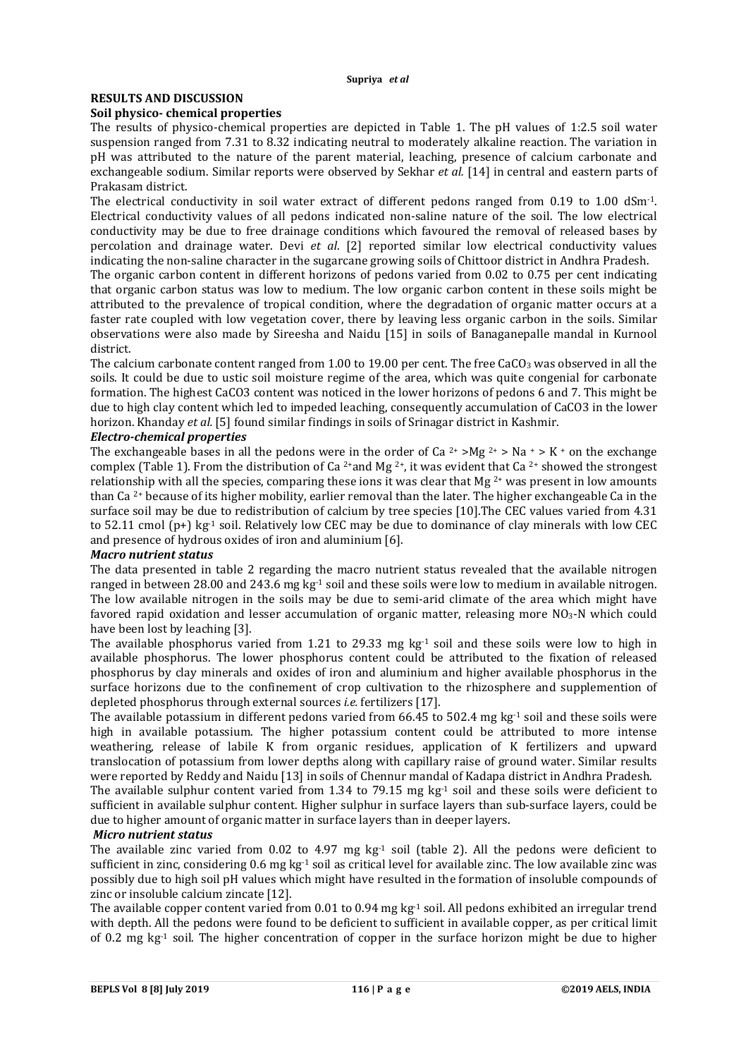## **RESULTS AND DISCUSSION**

### **Soil physico- chemical properties**

The results of physico-chemical properties are depicted in Table 1. The pH values of 1:2.5 soil water suspension ranged from 7.31 to 8.32 indicating neutral to moderately alkaline reaction. The variation in pH was attributed to the nature of the parent material, leaching, presence of calcium carbonate and exchangeable sodium. Similar reports were observed by Sekhar *et al.* [14] in central and eastern parts of Prakasam district.

The electrical conductivity in soil water extract of different pedons ranged from 0.19 to 1.00 dSm-1. Electrical conductivity values of all pedons indicated non-saline nature of the soil. The low electrical conductivity may be due to free drainage conditions which favoured the removal of released bases by percolation and drainage water. Devi *et al*. [2] reported similar low electrical conductivity values indicating the non-saline character in the sugarcane growing soils of Chittoor district in Andhra Pradesh.

The organic carbon content in different horizons of pedons varied from 0.02 to 0.75 per cent indicating that organic carbon status was low to medium. The low organic carbon content in these soils might be attributed to the prevalence of tropical condition, where the degradation of organic matter occurs at a faster rate coupled with low vegetation cover, there by leaving less organic carbon in the soils. Similar observations were also made by Sireesha and Naidu [15] in soils of Banaganepalle mandal in Kurnool district.

The calcium carbonate content ranged from 1.00 to 19.00 per cent. The free CaCO<sub>3</sub> was observed in all the soils. It could be due to ustic soil moisture regime of the area, which was quite congenial for carbonate formation. The highest CaCO3 content was noticed in the lower horizons of pedons 6 and 7. This might be due to high clay content which led to impeded leaching, consequently accumulation of CaCO3 in the lower horizon. Khanday *et al.* [5] found similar findings in soils of Srinagar district in Kashmir.

## *Electro-chemical properties*

The exchangeable bases in all the pedons were in the order of Ca <sup>2+</sup> >Mg <sup>2+</sup> > Na + > K + on the exchange complex (Table 1). From the distribution of Ca<sup>2+</sup>and Mg<sup>2+</sup>, it was evident that Ca<sup>2+</sup> showed the strongest relationship with all the species, comparing these ions it was clear that Mg 2+ was present in low amounts than Ca 2+ because of its higher mobility, earlier removal than the later. The higher exchangeable Ca in the surface soil may be due to redistribution of calcium by tree species [10].The CEC values varied from 4.31 to 52.11 cmol  $(p+)$  kg<sup>-1</sup> soil. Relatively low CEC may be due to dominance of clay minerals with low CEC and presence of hydrous oxides of iron and aluminium [6].

#### *Macro nutrient status*

The data presented in table 2 regarding the macro nutrient status revealed that the available nitrogen ranged in between 28.00 and 243.6 mg kg-1 soil and these soils were low to medium in available nitrogen. The low available nitrogen in the soils may be due to semi-arid climate of the area which might have favored rapid oxidation and lesser accumulation of organic matter, releasing more NO3-N which could have been lost by leaching [3].

The available phosphorus varied from 1.21 to 29.33 mg  $kg<sup>-1</sup>$  soil and these soils were low to high in available phosphorus. The lower phosphorus content could be attributed to the fixation of released phosphorus by clay minerals and oxides of iron and aluminium and higher available phosphorus in the surface horizons due to the confinement of crop cultivation to the rhizosphere and supplemention of depleted phosphorus through external sources *i.e.* fertilizers [17].

The available potassium in different pedons varied from  $66.45$  to 502.4 mg kg<sup>-1</sup> soil and these soils were high in available potassium. The higher potassium content could be attributed to more intense weathering, release of labile K from organic residues, application of K fertilizers and upward translocation of potassium from lower depths along with capillary raise of ground water. Similar results were reported by Reddy and Naidu [13] in soils of Chennur mandal of Kadapa district in Andhra Pradesh.

The available sulphur content varied from 1.34 to 79.15 mg  $kg<sup>-1</sup>$  soil and these soils were deficient to sufficient in available sulphur content. Higher sulphur in surface layers than sub-surface layers, could be due to higher amount of organic matter in surface layers than in deeper layers.

#### *Micro nutrient status*

The available zinc varied from 0.02 to 4.97 mg  $kg<sup>-1</sup>$  soil (table 2). All the pedons were deficient to sufficient in zinc, considering 0.6 mg kg<sup>-1</sup> soil as critical level for available zinc. The low available zinc was possibly due to high soil pH values which might have resulted in the formation of insoluble compounds of zinc or insoluble calcium zincate [12].

The available copper content varied from 0.01 to 0.94 mg kg-1 soil. All pedons exhibited an irregular trend with depth. All the pedons were found to be deficient to sufficient in available copper, as per critical limit of 0.2 mg kg<sup>-1</sup> soil. The higher concentration of copper in the surface horizon might be due to higher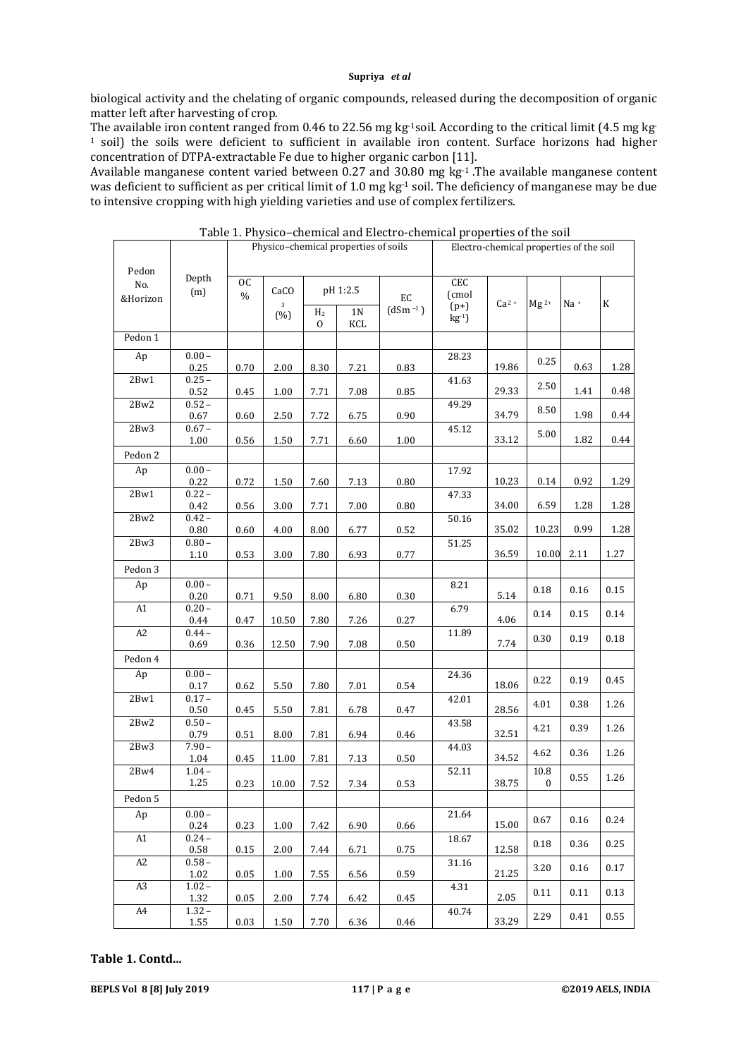biological activity and the chelating of organic compounds, released during the decomposition of organic matter left after harvesting of crop.

The available iron content ranged from 0.46 to 22.56 mg kg-1soil. According to the critical limit (4.5 mg kg-<sup>1</sup> soil) the soils were deficient to sufficient in available iron content. Surface horizons had higher concentration of DTPA-extractable Fe due to higher organic carbon [11].

Available manganese content varied between  $0.27$  and 30.80 mg kg<sup>-1</sup>. The available manganese content was deficient to sufficient as per critical limit of 1.0 mg kg<sup>-1</sup> soil. The deficiency of manganese may be due to intensive cropping with high yielding varieties and use of complex fertilizers.

|              |                  | Physico-chemical properties of soils |                     |                |                |              | Electro-chemical properties of the soil |        |           |        |             |  |
|--------------|------------------|--------------------------------------|---------------------|----------------|----------------|--------------|-----------------------------------------|--------|-----------|--------|-------------|--|
| Pedon        |                  |                                      |                     |                |                |              |                                         |        |           |        |             |  |
| No.          | Depth            | 0C                                   |                     |                |                |              | <b>CEC</b>                              |        |           |        |             |  |
| &Horizon     | (m)              | $\frac{0}{0}$                        | CaCO                |                | pH 1:2.5       | EC           | (cmol                                   |        |           |        |             |  |
|              |                  |                                      | $\mathbf{3}$<br>(%) | H <sub>2</sub> | 1 <sub>N</sub> | $(dSm^{-1})$ | $(p+)$<br>$kg-1$ )                      | $Ca2+$ | $Mg^{2+}$ | $Na +$ | $\mathbf K$ |  |
|              |                  |                                      |                     | $\mathbf{0}$   | KCL            |              |                                         |        |           |        |             |  |
| Pedon 1      |                  |                                      |                     |                |                |              |                                         |        |           |        |             |  |
| Ap           | $0.00 -$         |                                      |                     |                |                |              | 28.23                                   |        | 0.25      |        |             |  |
|              | 0.25<br>$0.25 -$ | 0.70                                 | 2.00                | 8.30           | 7.21           | 0.83         |                                         | 19.86  |           | 0.63   | 1.28        |  |
| 2Bw1         | 0.52             | 0.45                                 | 1.00                | 7.71           | 7.08           | 0.85         | 41.63                                   | 29.33  | 2.50      | 1.41   | 0.48        |  |
| 2Bw2         | $0.52 -$         |                                      |                     |                |                |              | 49.29                                   |        |           |        |             |  |
|              | 0.67             | 0.60                                 | 2.50                | 7.72           | 6.75           | 0.90         |                                         | 34.79  | 8.50      | 1.98   | 0.44        |  |
| 2Bw3         | $0.67 -$         |                                      |                     |                |                |              | 45.12                                   | 33.12  | 5.00      | 1.82   | 0.44        |  |
|              | 1.00             | 0.56                                 | 1.50                | 7.71           | 6.60           | 1.00         |                                         |        |           |        |             |  |
| Pedon 2      | $0.00 -$         |                                      |                     |                |                |              |                                         |        |           |        |             |  |
| Ap           | 0.22             | 0.72                                 | 1.50                | 7.60           | 7.13           | 0.80         | 17.92                                   | 10.23  | 0.14      | 0.92   | 1.29        |  |
| $2{\rm Bw1}$ | $0.22 -$         |                                      |                     |                |                |              | 47.33                                   |        |           |        |             |  |
|              | 0.42             | 0.56                                 | 3.00                | 7.71           | 7.00           | 0.80         |                                         | 34.00  | 6.59      | 1.28   | 1.28        |  |
| 2Bw2         | $0.42 -$         |                                      |                     |                |                |              | 50.16                                   | 35.02  |           | 0.99   |             |  |
| 2Bw3         | 0.80<br>$0.80 -$ | 0.60                                 | 4.00                | 8.00           | 6.77           | 0.52         | 51.25                                   |        | 10.23     |        | 1.28        |  |
|              | 1.10             | 0.53                                 | 3.00                | 7.80           | 6.93           | 0.77         |                                         | 36.59  | 10.00     | 2.11   | 1.27        |  |
| Pedon 3      |                  |                                      |                     |                |                |              |                                         |        |           |        |             |  |
| Ap           | $0.00 -$         |                                      |                     |                |                |              | 8.21                                    |        |           |        |             |  |
|              | 0.20             | 0.71                                 | 9.50                | 8.00           | 6.80           | 0.30         |                                         | 5.14   | 0.18      | 0.16   | 0.15        |  |
| A1           | $0.20 -$         |                                      |                     |                |                |              | 6.79                                    |        | 0.14      | 0.15   | 0.14        |  |
| A2           | 0.44<br>$0.44 -$ | 0.47                                 | 10.50               | 7.80           | 7.26           | 0.27         | 11.89                                   | 4.06   |           |        |             |  |
|              | 0.69             | 0.36                                 | 12.50               | 7.90           | 7.08           | 0.50         |                                         | 7.74   | 0.30      | 0.19   | 0.18        |  |
| Pedon 4      |                  |                                      |                     |                |                |              |                                         |        |           |        |             |  |
| Ap           | $0.00 -$         |                                      |                     |                |                |              | 24.36                                   |        |           |        |             |  |
|              | 0.17             | 0.62                                 | 5.50                | 7.80           | 7.01           | 0.54         |                                         | 18.06  | 0.22      | 0.19   | 0.45        |  |
| 2Bw1         | $0.17 -$         |                                      |                     |                |                |              | 42.01                                   | 28.56  | 4.01      | 0.38   | 1.26        |  |
| 2Bw2         | 0.50<br>$0.50 -$ | 0.45                                 | 5.50                | 7.81           | 6.78           | 0.47         | 43.58                                   |        |           |        |             |  |
|              | 0.79             | 0.51                                 | 8.00                | 7.81           | 6.94           | 0.46         |                                         | 32.51  | 4.21      | 0.39   | 1.26        |  |
| 2Bw3         | $7.90 -$         |                                      |                     |                |                |              | 44.03                                   |        | 4.62      | 0.36   | 1.26        |  |
|              | 1.04             | 0.45                                 | 11.00               | 7.81           | 7.13           | 0.50         |                                         | 34.52  |           |        |             |  |
| 2Bw4         | $1.04 -$<br>1.25 | 0.23                                 | 10.00               | 7.52           | 7.34           | 0.53         | 52.11                                   | 38.75  | 10.8<br>0 | 0.55   | 1.26        |  |
| Pedon 5      |                  |                                      |                     |                |                |              |                                         |        |           |        |             |  |
| Ap           | $0.00 -$         |                                      |                     |                |                |              | 21.64                                   |        |           |        |             |  |
|              | 0.24             | 0.23                                 | 1.00                | 7.42           | 6.90           | 0.66         |                                         | 15.00  | 0.67      | 0.16   | 0.24        |  |
| A1           | $0.24 -$         |                                      |                     |                |                |              | 18.67                                   |        | 0.18      | 0.36   | 0.25        |  |
|              | 0.58             | 0.15                                 | 2.00                | 7.44           | 6.71           | 0.75         |                                         | 12.58  |           |        |             |  |
| A2           | $0.58 -$<br>1.02 | 0.05                                 | 1.00                | 7.55           | 6.56           | 0.59         | 31.16                                   | 21.25  | 3.20      | 0.16   | 0.17        |  |
| A3           | $1.02 -$         |                                      |                     |                |                |              | 4.31                                    |        |           |        |             |  |
|              | 1.32             | 0.05                                 | 2.00                | 7.74           | 6.42           | 0.45         |                                         | 2.05   | 0.11      | 0.11   | 0.13        |  |
| A4           | $1.32 -$         |                                      |                     |                |                |              | 40.74                                   |        | 2.29      | 0.41   | 0.55        |  |
|              | 1.55             | 0.03                                 | 1.50                | 7.70           | 6.36           | 0.46         |                                         | 33.29  |           |        |             |  |

Table 1. Physico–chemical and Electro-chemical properties of the soil

## **Table 1. Contd...**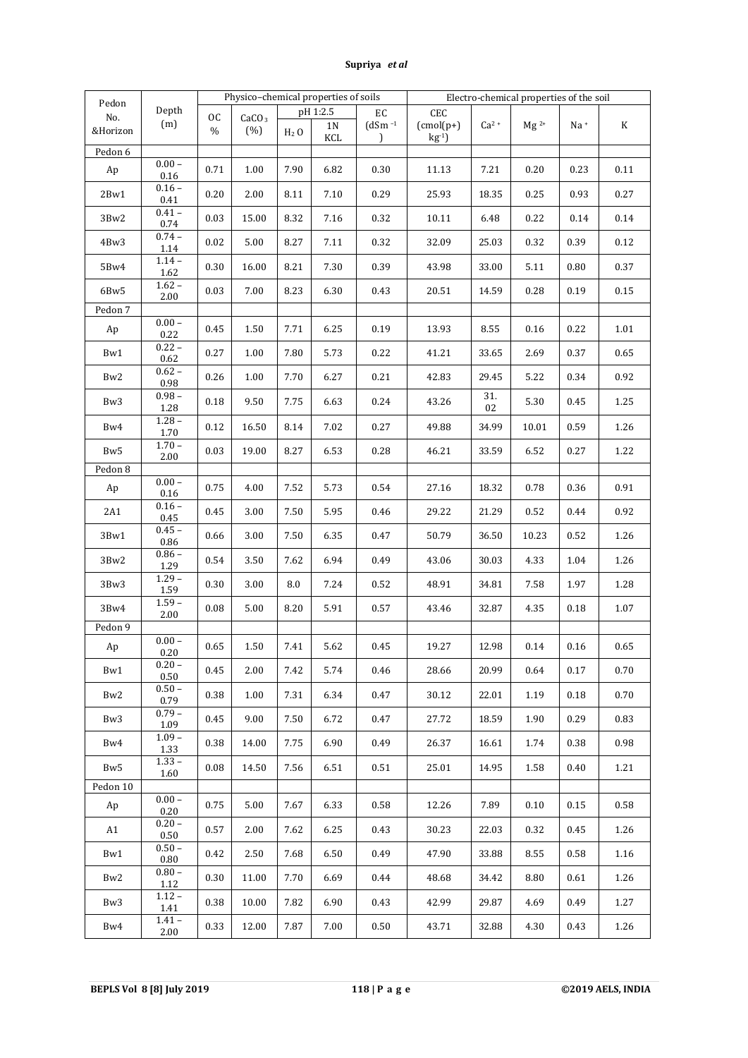|                   |                      | Physico-chemical properties of soils |                          |           |                |               |              | Electro-chemical properties of the soil |           |        |             |  |  |
|-------------------|----------------------|--------------------------------------|--------------------------|-----------|----------------|---------------|--------------|-----------------------------------------|-----------|--------|-------------|--|--|
| Pedon<br>No.      | Depth                | <b>OC</b>                            |                          |           | pH 1:2.5       | EC            | CEC          |                                         |           |        |             |  |  |
| &Horizon          | (m)                  | $\frac{0}{0}$                        | CaCO <sub>3</sub><br>(%) |           | 1 <sub>N</sub> | $(dSm -1)$    | $(cmol(p+))$ | $Ca2+$                                  | $Mg^{2+}$ | $Na +$ | $\mathbf K$ |  |  |
|                   |                      |                                      |                          | $H_2$ O   | KCL            | $\mathcal{L}$ | $kg-1$ )     |                                         |           |        |             |  |  |
| Pedon 6           |                      |                                      |                          |           |                |               |              |                                         |           |        |             |  |  |
| Ap                | $0.00 -$<br>0.16     | 0.71                                 | 1.00                     | 7.90      | 6.82           | 0.30          | 11.13        | 7.21                                    | 0.20      | 0.23   | 0.11        |  |  |
| 2Bw1              | $0.16 -$<br>0.41     | 0.20                                 | 2.00                     | 8.11      | 7.10           | 0.29          | 25.93        | 18.35                                   | 0.25      | 0.93   | 0.27        |  |  |
| 3Bw2              | $0.41 -$<br>0.74     | 0.03                                 | 15.00                    | 8.32      | 7.16           | 0.32          | 10.11        | 6.48                                    | 0.22      | 0.14   | 0.14        |  |  |
| 4Bw3              | $0.74 -$<br>1.14     | 0.02                                 | 5.00                     | 8.27      | 7.11           | 0.32          | 32.09        | 25.03                                   | 0.32      | 0.39   | 0.12        |  |  |
| 5Bw4              | $1.14 -$<br>1.62     | 0.30                                 | 16.00                    | 8.21      | 7.30           | 0.39          | 43.98        | 33.00                                   | 5.11      | 0.80   | 0.37        |  |  |
| 6Bw5              | $1.62 -$<br>2.00     | 0.03                                 | 7.00                     | 8.23      | 6.30           | 0.43          | 20.51        | 14.59                                   | 0.28      | 0.19   | 0.15        |  |  |
| Pedon 7           |                      |                                      |                          |           |                |               |              |                                         |           |        |             |  |  |
| Ap                | $0.00 -$<br>0.22     | 0.45                                 | 1.50                     | 7.71      | 6.25           | 0.19          | 13.93        | 8.55                                    | 0.16      | 0.22   | 1.01        |  |  |
| Bw1               | $0.22 -$<br>0.62     | 0.27                                 | 1.00                     | 7.80      | 5.73           | 0.22          | 41.21        | 33.65                                   | 2.69      | 0.37   | 0.65        |  |  |
| Bw <sub>2</sub>   | $0.62 -$<br>0.98     | 0.26                                 | 1.00                     | 7.70      | 6.27           | 0.21          | 42.83        | 29.45                                   | 5.22      | 0.34   | 0.92        |  |  |
| Bw3               | $0.98 -$<br>1.28     | 0.18                                 | 9.50                     | 7.75      | 6.63           | 0.24          | 43.26        | 31.<br>02                               | 5.30      | 0.45   | 1.25        |  |  |
| Bw4               | $1.28 -$<br>1.70     | 0.12                                 | 16.50                    | 8.14      | 7.02           | 0.27          | 49.88        | 34.99                                   | 10.01     | 0.59   | 1.26        |  |  |
| Bw <sub>5</sub>   | $1.70 -$<br>2.00     | 0.03                                 | 19.00                    | 8.27      | 6.53           | 0.28          | 46.21        | 33.59                                   | 6.52      | 0.27   | 1.22        |  |  |
| Pedon 8           |                      |                                      |                          |           |                |               |              |                                         |           |        |             |  |  |
| Ap                | $0.00 -$<br>0.16     | 0.75                                 | 4.00                     | 7.52      | 5.73           | 0.54          | 27.16        | 18.32                                   | 0.78      | 0.36   | 0.91        |  |  |
| 2A1               | $0.16 -$<br>0.45     | 0.45                                 | 3.00                     | 7.50      | 5.95           | 0.46          | 29.22        | 21.29                                   | 0.52      | 0.44   | 0.92        |  |  |
| 3Bw1              | $0.45 -$<br>0.86     | 0.66                                 | 3.00                     | 7.50      | 6.35           | 0.47          | 50.79        | 36.50                                   | 10.23     | 0.52   | 1.26        |  |  |
| $3\,\mathrm{Bw2}$ | $0.86 -$<br>1.29     | 0.54                                 | 3.50                     | 7.62      | 6.94           | 0.49          | 43.06        | 30.03                                   | 4.33      | 1.04   | 1.26        |  |  |
| 3Bw3              | $1.29 -$<br>1.59     | 0.30                                 | 3.00                     | $\rm 8.0$ | 7.24           | 0.52          | 48.91        | 34.81                                   | 7.58      | 1.97   | 1.28        |  |  |
| 3Bw4              | $1.59 -$<br>2.00     | 0.08                                 | 5.00                     | 8.20      | 5.91           | 0.57          | 43.46        | 32.87                                   | 4.35      | 0.18   | 1.07        |  |  |
| Pedon 9           |                      |                                      |                          |           |                |               |              |                                         |           |        |             |  |  |
| Ap                | $0.00 -$<br>0.20     | 0.65                                 | 1.50                     | 7.41      | 5.62           | 0.45          | 19.27        | 12.98                                   | 0.14      | 0.16   | 0.65        |  |  |
| Bw1               | $0.20 -$<br>0.50     | 0.45                                 | 2.00                     | 7.42      | 5.74           | 0.46          | 28.66        | 20.99                                   | 0.64      | 0.17   | 0.70        |  |  |
| Bw2               | $0.50 -$<br>0.79     | 0.38                                 | 1.00                     | 7.31      | 6.34           | 0.47          | 30.12        | 22.01                                   | 1.19      | 0.18   | 0.70        |  |  |
| Bw3               | $0.79 -$<br>1.09     | 0.45                                 | 9.00                     | 7.50      | 6.72           | 0.47          | 27.72        | 18.59                                   | 1.90      | 0.29   | 0.83        |  |  |
| Bw4               | $1.09 -$<br>1.33     | 0.38                                 | 14.00                    | 7.75      | 6.90           | 0.49          | 26.37        | 16.61                                   | 1.74      | 0.38   | 0.98        |  |  |
| Bw <sub>5</sub>   | $1.33 -$<br>1.60     | 0.08                                 | 14.50                    | 7.56      | 6.51           | 0.51          | 25.01        | 14.95                                   | 1.58      | 0.40   | 1.21        |  |  |
| Pedon 10          |                      |                                      |                          |           |                |               |              |                                         |           |        |             |  |  |
| Ap                | $0.00 -$<br>0.20     | 0.75                                 | 5.00                     | 7.67      | 6.33           | 0.58          | 12.26        | 7.89                                    | 0.10      | 0.15   | 0.58        |  |  |
| A1                | $0.20 -$<br>0.50     | 0.57                                 | 2.00                     | 7.62      | 6.25           | 0.43          | 30.23        | 22.03                                   | 0.32      | 0.45   | 1.26        |  |  |
| Bw1               | $0.50 -$<br>0.80     | 0.42                                 | 2.50                     | 7.68      | 6.50           | 0.49          | 47.90        | 33.88                                   | 8.55      | 0.58   | 1.16        |  |  |
| Bw <sub>2</sub>   | $0.80 -$<br>1.12     | 0.30                                 | 11.00                    | 7.70      | 6.69           | 0.44          | 48.68        | 34.42                                   | 8.80      | 0.61   | 1.26        |  |  |
| Bw <sub>3</sub>   | $1.12 -$<br>1.41     | 0.38                                 | 10.00                    | 7.82      | 6.90           | 0.43          | 42.99        | 29.87                                   | 4.69      | 0.49   | 1.27        |  |  |
| Bw4               | $1.41 -$<br>$2.00\,$ | 0.33                                 | 12.00                    | 7.87      | 7.00           | 0.50          | 43.71        | 32.88                                   | 4.30      | 0.43   | 1.26        |  |  |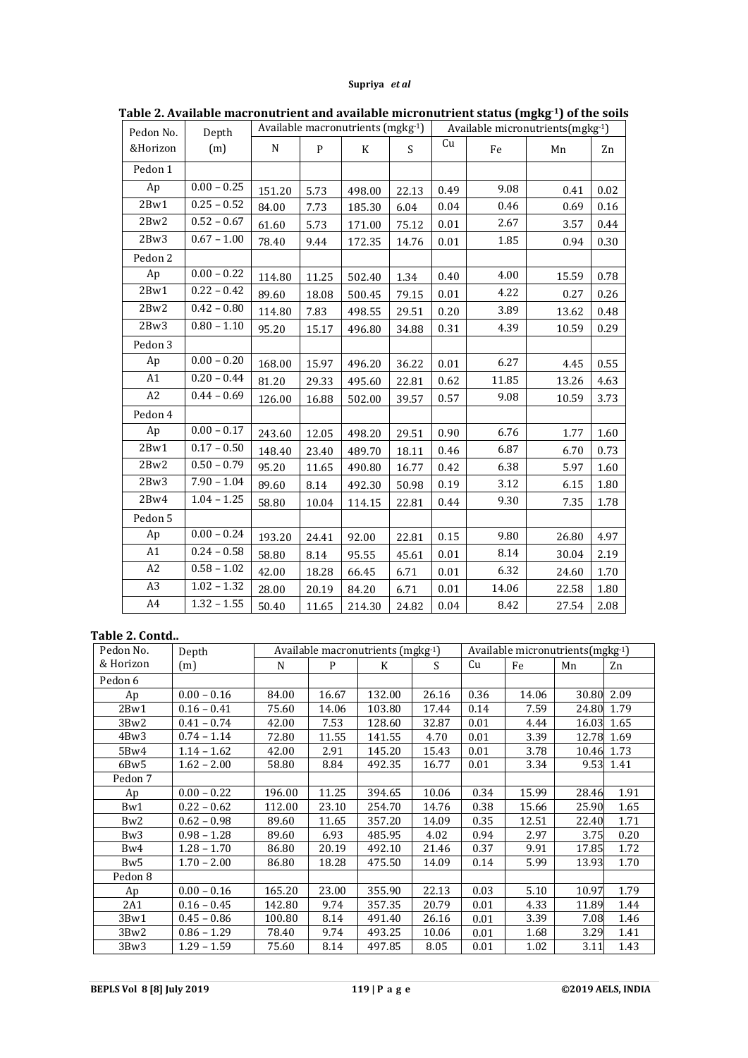| Pedon No.      | Depth                    | Available macronutrients (mgkg-1) |              |        |                           |          | Available micronutrients (mgkg-1) |       |      |  |  |
|----------------|--------------------------|-----------------------------------|--------------|--------|---------------------------|----------|-----------------------------------|-------|------|--|--|
| &Horizon       | (m)                      | N                                 | $\mathbf{P}$ | K      | $\boldsymbol{\mathsf{S}}$ | Cu       | Fe                                | Mn    | Zn   |  |  |
| Pedon 1        |                          |                                   |              |        |                           |          |                                   |       |      |  |  |
| Ap             | $0.00 - 0.25$            | 151.20                            | 5.73         | 498.00 | 22.13                     | 0.49     | 9.08                              | 0.41  | 0.02 |  |  |
| 2Bw1           | $0.25 - 0.52$            | 84.00                             | 7.73         | 185.30 | 6.04                      | 0.04     | 0.46                              | 0.69  | 0.16 |  |  |
| 2Bw2           | $0.52 - 0.67$            | 61.60                             | 5.73         | 171.00 | 75.12                     | $0.01\,$ | 2.67                              | 3.57  | 0.44 |  |  |
| 2Bw3           | $0.67 - 1.00$            | 78.40                             | 9.44         | 172.35 | 14.76                     | 0.01     | 1.85                              | 0.94  | 0.30 |  |  |
| Pedon 2        |                          |                                   |              |        |                           |          |                                   |       |      |  |  |
| Ap             | $0.00 - 0.22$            | 114.80                            | 11.25        | 502.40 | 1.34                      | 0.40     | 4.00                              | 15.59 | 0.78 |  |  |
| 2Bw1           | $0.22 - 0.42$            | 89.60                             | 18.08        | 500.45 | 79.15                     | 0.01     | 4.22                              | 0.27  | 0.26 |  |  |
| 2Bw2           | $0.42 - 0.80$            | 114.80                            | 7.83         | 498.55 | 29.51                     | 0.20     | 3.89                              | 13.62 | 0.48 |  |  |
| 2Bw3           | $0.80 - 1.10$            | 95.20                             | 15.17        | 496.80 | 34.88                     | 0.31     | 4.39                              | 10.59 | 0.29 |  |  |
| Pedon 3        |                          |                                   |              |        |                           |          |                                   |       |      |  |  |
| Ap             | $0.00 - 0.20$            | 168.00                            | 15.97        | 496.20 | 36.22                     | 0.01     | 6.27                              | 4.45  | 0.55 |  |  |
| A1             | $0.20 - 0.44$            | 81.20                             | 29.33        | 495.60 | 22.81                     | 0.62     | 11.85                             | 13.26 | 4.63 |  |  |
| A <sub>2</sub> | $0.44 - 0.69$            | 126.00                            | 16.88        | 502.00 | 39.57                     | 0.57     | 9.08                              | 10.59 | 3.73 |  |  |
| Pedon 4        |                          |                                   |              |        |                           |          |                                   |       |      |  |  |
| Ap             | $0.00 - 0.17$            | 243.60                            | 12.05        | 498.20 | 29.51                     | 0.90     | 6.76                              | 1.77  | 1.60 |  |  |
| 2Bw1           | $0.17 - 0.50$            | 148.40                            | 23.40        | 489.70 | 18.11                     | 0.46     | 6.87                              | 6.70  | 0.73 |  |  |
| 2Bw2           | $\overline{0.50} - 0.79$ | 95.20                             | 11.65        | 490.80 | 16.77                     | 0.42     | 6.38                              | 5.97  | 1.60 |  |  |
| 2Bw3           | $7.90 - 1.04$            | 89.60                             | 8.14         | 492.30 | 50.98                     | 0.19     | 3.12                              | 6.15  | 1.80 |  |  |
| 2Bw4           | $1.04 - 1.25$            | 58.80                             | 10.04        | 114.15 | 22.81                     | 0.44     | 9.30                              | 7.35  | 1.78 |  |  |
| Pedon 5        |                          |                                   |              |        |                           |          |                                   |       |      |  |  |
| Ap             | $0.00 - 0.24$            | 193.20                            | 24.41        | 92.00  | 22.81                     | 0.15     | 9.80                              | 26.80 | 4.97 |  |  |
| A1             | $0.24 - 0.58$            | 58.80                             | 8.14         | 95.55  | 45.61                     | 0.01     | $\ \, 8.14$                       | 30.04 | 2.19 |  |  |
| A2             | $0.58 - 1.02$            | 42.00                             | 18.28        | 66.45  | 6.71                      | 0.01     | 6.32                              | 24.60 | 1.70 |  |  |
| A <sub>3</sub> | $1.02 - 1.32$            | 28.00                             | 20.19        | 84.20  | 6.71                      | 0.01     | 14.06                             | 22.58 | 1.80 |  |  |
| A4             | $1.32 - 1.55$            | 50.40                             | 11.65        | 214.30 | 24.82                     | 0.04     | 8.42                              | 27.54 | 2.08 |  |  |

**Table 2. Available macronutrient and available micronutrient status (mgkg-1) of the soils**

## **Table 2. Contd..**

| Pedon No.       | Depth         | Available macronutrients (mgkg-1) | Available micronutrients (mgkg-1) |        |       |      |       |       |      |
|-----------------|---------------|-----------------------------------|-----------------------------------|--------|-------|------|-------|-------|------|
| & Horizon       | (m)           | N                                 | P                                 | K      | S.    | Cu   | Fe    | Mn    | Zn   |
| Pedon 6         |               |                                   |                                   |        |       |      |       |       |      |
| Ap              | $0.00 - 0.16$ | 84.00                             | 16.67                             | 132.00 | 26.16 | 0.36 | 14.06 | 30.80 | 2.09 |
| 2Bw1            | $0.16 - 0.41$ | 75.60                             | 14.06                             | 103.80 | 17.44 | 0.14 | 7.59  | 24.80 | 1.79 |
| 3Bw2            | $0.41 - 0.74$ | 42.00                             | 7.53                              | 128.60 | 32.87 | 0.01 | 4.44  | 16.03 | 1.65 |
| 4Bw3            | $0.74 - 1.14$ | 72.80                             | 11.55                             | 141.55 | 4.70  | 0.01 | 3.39  | 12.78 | 1.69 |
| 5Bw4            | $1.14 - 1.62$ | 42.00                             | 2.91                              | 145.20 | 15.43 | 0.01 | 3.78  | 10.46 | 1.73 |
| 6Bw5            | $1.62 - 2.00$ | 58.80                             | 8.84                              | 492.35 | 16.77 | 0.01 | 3.34  | 9.53  | 1.41 |
| Pedon 7         |               |                                   |                                   |        |       |      |       |       |      |
| Ap              | $0.00 - 0.22$ | 196.00                            | 11.25                             | 394.65 | 10.06 | 0.34 | 15.99 | 28.46 | 1.91 |
| Bw1             | $0.22 - 0.62$ | 112.00                            | 23.10                             | 254.70 | 14.76 | 0.38 | 15.66 | 25.90 | 1.65 |
| Bw <sub>2</sub> | $0.62 - 0.98$ | 89.60                             | 11.65                             | 357.20 | 14.09 | 0.35 | 12.51 | 22.40 | 1.71 |
| Bw <sub>3</sub> | $0.98 - 1.28$ | 89.60                             | 6.93                              | 485.95 | 4.02  | 0.94 | 2.97  | 3.75  | 0.20 |
| Bw4             | $1.28 - 1.70$ | 86.80                             | 20.19                             | 492.10 | 21.46 | 0.37 | 9.91  | 17.85 | 1.72 |
| Bw5             | $1.70 - 2.00$ | 86.80                             | 18.28                             | 475.50 | 14.09 | 0.14 | 5.99  | 13.93 | 1.70 |
| Pedon 8         |               |                                   |                                   |        |       |      |       |       |      |
| Ap              | $0.00 - 0.16$ | 165.20                            | 23.00                             | 355.90 | 22.13 | 0.03 | 5.10  | 10.97 | 1.79 |
| 2A1             | $0.16 - 0.45$ | 142.80                            | 9.74                              | 357.35 | 20.79 | 0.01 | 4.33  | 11.89 | 1.44 |
| 3Bw1            | $0.45 - 0.86$ | 100.80                            | 8.14                              | 491.40 | 26.16 | 0.01 | 3.39  | 7.08  | 1.46 |
| 3Bw2            | $0.86 - 1.29$ | 78.40                             | 9.74                              | 493.25 | 10.06 | 0.01 | 1.68  | 3.29  | 1.41 |
| 3Bw3            | $1.29 - 1.59$ | 75.60                             | 8.14                              | 497.85 | 8.05  | 0.01 | 1.02  | 3.11  | 1.43 |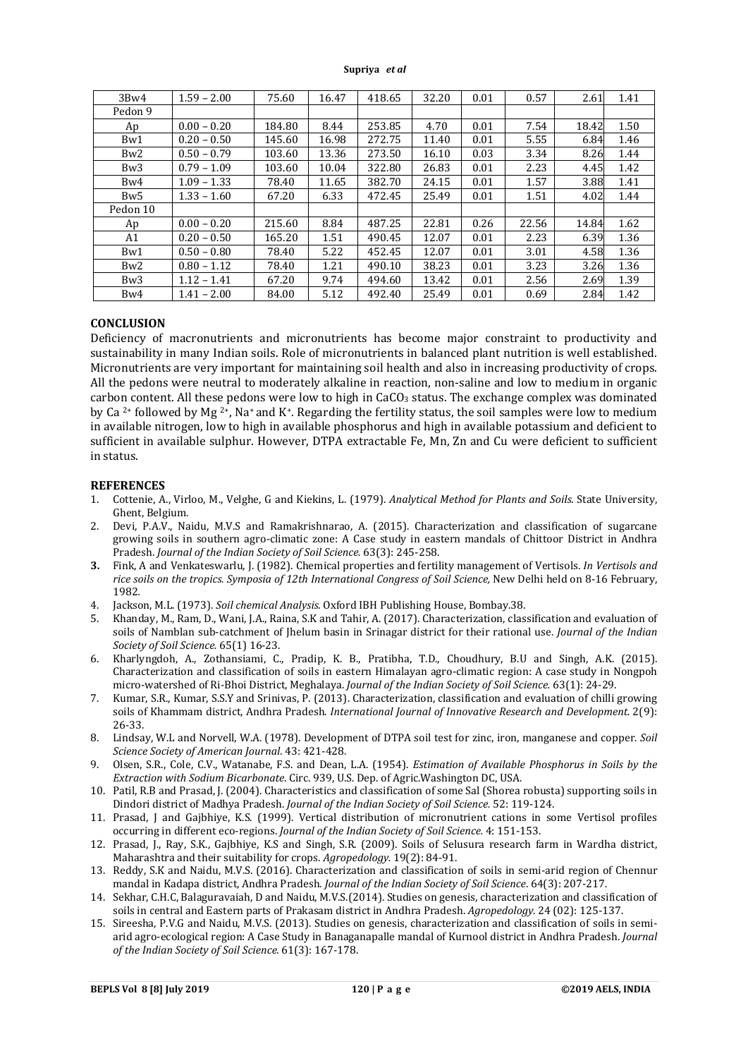| 3Bw4            | $1.59 - 2.00$ | 75.60  | 16.47 | 418.65 | 32.20 | 0.01 | 0.57  | 2.61  | 1.41 |
|-----------------|---------------|--------|-------|--------|-------|------|-------|-------|------|
| Pedon 9         |               |        |       |        |       |      |       |       |      |
| Ap              | $0.00 - 0.20$ | 184.80 | 8.44  | 253.85 | 4.70  | 0.01 | 7.54  | 18.42 | 1.50 |
| Bw1             | $0.20 - 0.50$ | 145.60 | 16.98 | 272.75 | 11.40 | 0.01 | 5.55  | 6.84  | 1.46 |
| Bw <sub>2</sub> | $0.50 - 0.79$ | 103.60 | 13.36 | 273.50 | 16.10 | 0.03 | 3.34  | 8.26  | 1.44 |
| Bw <sub>3</sub> | $0.79 - 1.09$ | 103.60 | 10.04 | 322.80 | 26.83 | 0.01 | 2.23  | 4.45  | 1.42 |
| Bw4             | $1.09 - 1.33$ | 78.40  | 11.65 | 382.70 | 24.15 | 0.01 | 1.57  | 3.88  | 1.41 |
| Bw <sub>5</sub> | $1.33 - 1.60$ | 67.20  | 6.33  | 472.45 | 25.49 | 0.01 | 1.51  | 4.02  | 1.44 |
| Pedon 10        |               |        |       |        |       |      |       |       |      |
| Ap              | $0.00 - 0.20$ | 215.60 | 8.84  | 487.25 | 22.81 | 0.26 | 22.56 | 14.84 | 1.62 |
| A1              | $0.20 - 0.50$ | 165.20 | 1.51  | 490.45 | 12.07 | 0.01 | 2.23  | 6.39  | 1.36 |
| Bw1             | $0.50 - 0.80$ | 78.40  | 5.22  | 452.45 | 12.07 | 0.01 | 3.01  | 4.58  | 1.36 |
| Bw <sub>2</sub> | $0.80 - 1.12$ | 78.40  | 1.21  | 490.10 | 38.23 | 0.01 | 3.23  | 3.26  | 1.36 |
| Bw <sub>3</sub> | $1.12 - 1.41$ | 67.20  | 9.74  | 494.60 | 13.42 | 0.01 | 2.56  | 2.69  | 1.39 |
| Bw4             | $1.41 - 2.00$ | 84.00  | 5.12  | 492.40 | 25.49 | 0.01 | 0.69  | 2.84  | 1.42 |

### **CONCLUSION**

Deficiency of macronutrients and micronutrients has become major constraint to productivity and sustainability in many Indian soils. Role of micronutrients in balanced plant nutrition is well established. Micronutrients are very important for maintaining soil health and also in increasing productivity of crops. All the pedons were neutral to moderately alkaline in reaction, non-saline and low to medium in organic carbon content. All these pedons were low to high in  $CaCO<sub>3</sub>$  status. The exchange complex was dominated by Ca<sup>2+</sup> followed by Mg<sup>2+</sup>, Na<sup>+</sup> and K<sup>+</sup>. Regarding the fertility status, the soil samples were low to medium in available nitrogen, low to high in available phosphorus and high in available potassium and deficient to sufficient in available sulphur. However, DTPA extractable Fe, Mn, Zn and Cu were deficient to sufficient in status.

#### **REFERENCES**

- 1. Cottenie, A., Virloo, M., Velghe, G and Kiekins, L. (1979). *Analytical Method for Plants and Soils*. State University, Ghent, Belgium.
- 2. Devi, P.A.V., Naidu, M.V.S and Ramakrishnarao, A. (2015). Characterization and classification of sugarcane growing soils in southern agro-climatic zone: A Case study in eastern mandals of Chittoor District in Andhra Pradesh. *Journal of the Indian Society of Soil Science.* 63(3): 245-258.
- **3.** Fink, A and Venkateswarlu, J. (1982). Chemical properties and fertility management of Vertisols. *In Vertisols and*  rice soils on the tropics. Symposia of 12th International Congress of Soil Science, New Delhi held on 8-16 February, 1982*.*
- 
- 4. Jackson, M.L. (1973). *Soil chemical Analysis*. Oxford IBH Publishing House, Bombay.38. 5. Khanday, M., Ram, D., Wani, J.A., Raina, S.K and Tahir, A. (2017). Characterization, classification and evaluation of soils of Namblan sub-catchment of Jhelum basin in Srinagar district for their rational use. *Journal of the Indian Society of Soil Science.* 65(1) 16-23.
- 6. Kharlyngdoh, A., Zothansiami, C., Pradip, K. B., Pratibha, T.D., Choudhury, B.U and Singh, A.K. (2015). Characterization and classification of soils in eastern Himalayan agro-climatic region: A case study in Nongpoh micro-watershed of Ri-Bhoi District, Meghalaya. *Journal of the Indian Society of Soil Science.* 63(1): 24-29.
- 7. Kumar, S.R., Kumar, S.S.Y and Srinivas, P. (2013). Characterization, classification and evaluation of chilli growing soils of Khammam district, Andhra Pradesh. *International Journal of Innovative Research and Development.* 2(9): 26-33.
- 8. Lindsay, W.L and Norvell, W.A. (1978). Development of DTPA soil test for zinc, iron, manganese and copper. *Soil Science Society of American Journal*. 43: 421-428.
- 9. Olsen, S.R., Cole, C.V., Watanabe, F.S. and Dean, L.A. (1954). *Estimation of Available Phosphorus in Soils by the Extraction with Sodium Bicarbonate*. Circ. 939, U.S. Dep. of Agric.Washington DC, USA.
- 10. Patil, R.B and Prasad, J. (2004). Characteristics and classification of some Sal (Shorea robusta) supporting soils in Dindori district of Madhya Pradesh. *Journal of the Indian Society of Soil Science.* 52: 119-124.
- 11. Prasad, J and Gajbhiye, K.S. (1999). Vertical distribution of micronutrient cations in some Vertisol profiles occurring in different eco-regions. *Journal of the Indian Society of Soil Science.* 4: 151-153.
- 12. Prasad, J., Ray, S.K., Gajbhiye, K.S and Singh, S.R. (2009). Soils of Selusura research farm in Wardha district, Maharashtra and their suitability for crops. *Agropedology.* 19(2): 84-91.
- 13. Reddy, S.K and Naidu, M.V.S. (2016). Characterization and classification of soils in semi-arid region of Chennur mandal in Kadapa district, Andhra Pradesh. *Journal of the Indian Society of Soil Science*. 64(3): 207-217.
- 14. Sekhar, C.H.C, Balaguravaiah, D and Naidu, M.V.S.(2014). Studies on genesis, characterization and classification of soils in central and Eastern parts of Prakasam district in Andhra Pradesh. *Agropedology*. 24 (02): 125-137.
- 15. Sireesha, P.V.G and Naidu, M.V.S. (2013). Studies on genesis, characterization and classification of soils in semiarid agro-ecological region: A Case Study in Banaganapalle mandal of Kurnool district in Andhra Pradesh. *Journal of the Indian Society of Soil Science.* 61(3): 167-178.